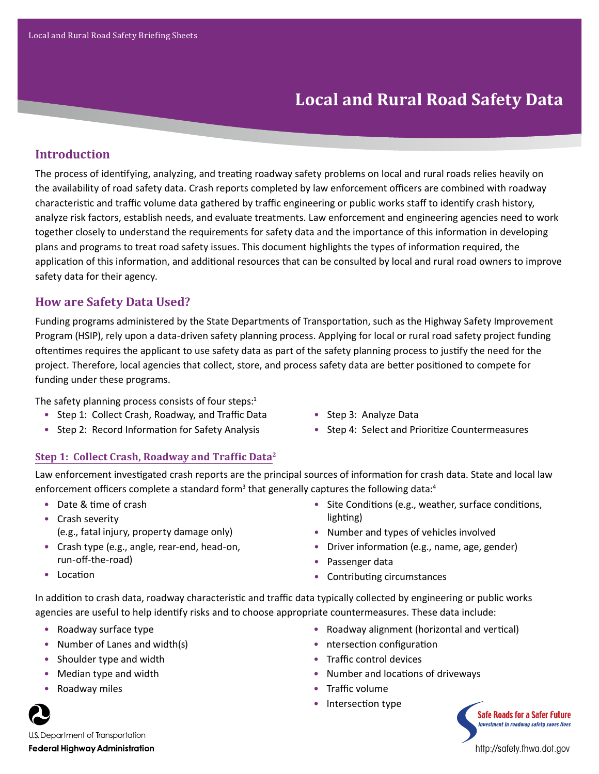# **Local and Rural Road Safety Data**

## **Introduction**

The process of identifying, analyzing, and treating roadway safety problems on local and rural roads relies heavily on the availability of road safety data. Crash reports completed by law enforcement officers are combined with roadway characteristic and traffic volume data gathered by traffic engineering or public works staff to identify crash history, analyze risk factors, establish needs, and evaluate treatments. Law enforcement and engineering agencies need to work together closely to understand the requirements for safety data and the importance of this information in developing plans and programs to treat road safety issues. This document highlights the types of information required, the application of this information, and additional resources that can be consulted by local and rural road owners to improve safety data for their agency.

## **How are Safety Data Used?**

Funding programs administered by the State Departments of Transportation, such as the Highway Safety Improvement Program (HSIP), rely upon a data‐driven safety planning process. Applying for local or rural road safety project funding oftentimes requires the applicant to use safety data as part of the safety planning process to justify the need for the project. Therefore, local agencies that collect, store, and process safety data are better positioned to compete for funding under these programs.

The safety planning process consists of four steps: $1$ 

- Step 1: Collect Crash, Roadway, and Traffic Data
- Step 2: Record Information for Safety Analysis
- Step 3: Analyze Data
- Step 4: Select and Prioritize Countermeasures

## **Step 1: Collect Crash, Roadway and Traffic Data<sup>2</sup>**

Law enforcement investigated crash reports are the principal sources of information for crash data. State and local law enforcement officers complete a standard form<sup>3</sup> that generally captures the following data:<sup>4</sup>

- Date & time of crash
- Crash severity (e.g., fatal injury, property damage only)
- Crash type (e.g., angle, rear-end, head-on, run-off-the-road)
- Location
- Site Conditions (e.g., weather, surface conditions, lighting)
- Number and types of vehicles involved
- Driver information (e.g., name, age, gender)

• Roadway alignment (horizontal and vertical)

- Passenger data
- Contributing circumstances

In addition to crash data, roadway characteristic and traffic data typically collected by engineering or public works agencies are useful to help identify risks and to choose appropriate countermeasures. These data include:

- Roadway surface type
- Number of Lanes and width(s)
- Shoulder type and width
- Median type and width
- Roadway miles



- ntersection configuration
	- Traffic control devices
	- Number and locations of driveways
	- Traffic volume
	- Intersection type



U.S. Department of Transportation **Federal Highway Administration** 

http://safety.fhwa.dot.gov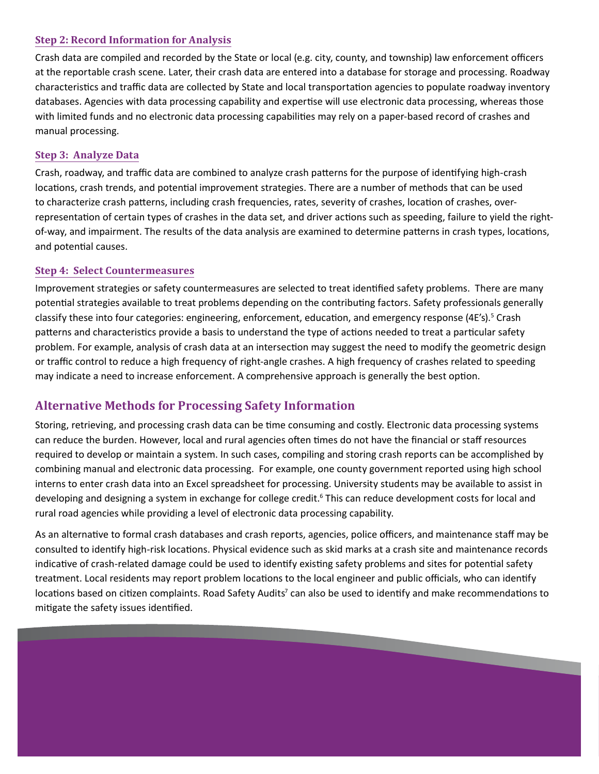### **Step 2: Record Information for Analysis**

Crash data are compiled and recorded by the State or local (e.g. city, county, and township) law enforcement officers at the reportable crash scene. Later, their crash data are entered into a database for storage and processing. Roadway characteristics and traffic data are collected by State and local transportation agencies to populate roadway inventory databases. Agencies with data processing capability and expertise will use electronic data processing, whereas those with limited funds and no electronic data processing capabilities may rely on a paper-based record of crashes and manual processing.

### **Step 3: Analyze Data**

Crash, roadway, and traffic data are combined to analyze crash patterns for the purpose of identifying high-crash locations, crash trends, and potential improvement strategies. There are a number of methods that can be used to characterize crash patterns, including crash frequencies, rates, severity of crashes, location of crashes, overrepresentation of certain types of crashes in the data set, and driver actions such as speeding, failure to yield the rightof-way, and impairment. The results of the data analysis are examined to determine patterns in crash types, locations, and potential causes.

#### **Step 4: Select Countermeasures**

Improvement strategies or safety countermeasures are selected to treat identified safety problems. There are many potential strategies available to treat problems depending on the contributing factors. Safety professionals generally classify these into four categories: engineering, enforcement, education, and emergency response (4E's).<sup>5</sup> Crash patterns and characteristics provide a basis to understand the type of actions needed to treat a particular safety problem. For example, analysis of crash data at an intersection may suggest the need to modify the geometric design or traffic control to reduce a high frequency of right-angle crashes. A high frequency of crashes related to speeding may indicate a need to increase enforcement. A comprehensive approach is generally the best option.

## **Alternative Methods for Processing Safety Information**

Storing, retrieving, and processing crash data can be time consuming and costly. Electronic data processing systems can reduce the burden. However, local and rural agencies often times do not have the financial or staff resources required to develop or maintain a system. In such cases, compiling and storing crash reports can be accomplished by combining manual and electronic data processing. For example, one county government reported using high school interns to enter crash data into an Excel spreadsheet for processing. University students may be available to assist in developing and designing a system in exchange for college credit.<sup>6</sup> This can reduce development costs for local and rural road agencies while providing a level of electronic data processing capability.

As an alternative to formal crash databases and crash reports, agencies, police officers, and maintenance staff may be consulted to identify high-risk locations. Physical evidence such as skid marks at a crash site and maintenance records indicative of crash-related damage could be used to identify existing safety problems and sites for potential safety treatment. Local residents may report problem locations to the local engineer and public officials, who can identify locations based on citizen complaints. Road Safety Audits<sup>7</sup> can also be used to identify and make recommendations to mitigate the safety issues identified.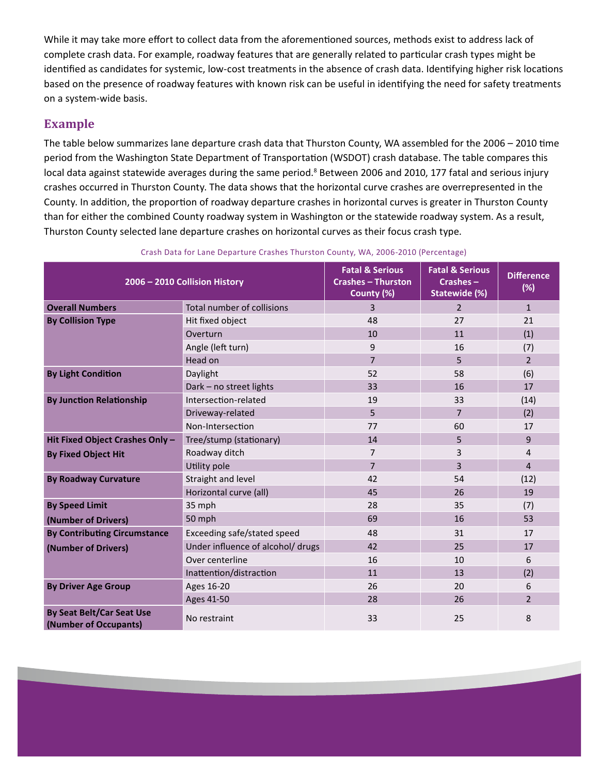While it may take more effort to collect data from the aforementioned sources, methods exist to address lack of complete crash data. For example, roadway features that are generally related to particular crash types might be identified as candidates for systemic, low-cost treatments in the absence of crash data. Identifying higher risk locations based on the presence of roadway features with known risk can be useful in identifying the need for safety treatments on a system-wide basis.

## **Example**

The table below summarizes lane departure crash data that Thurston County, WA assembled for the 2006 – 2010 time period from the Washington State Department of Transportation (WSDOT) crash database. The table compares this local data against statewide averages during the same period.<sup>8</sup> Between 2006 and 2010, 177 fatal and serious injury crashes occurred in Thurston County. The data shows that the horizontal curve crashes are overrepresented in the County. In addition, the proportion of roadway departure crashes in horizontal curves is greater in Thurston County than for either the combined County roadway system in Washington or the statewide roadway system. As a result, Thurston County selected lane departure crashes on horizontal curves as their focus crash type.

| 2006 - 2010 Collision History                             |                                   | <b>Fatal &amp; Serious</b><br><b>Crashes - Thurston</b><br>County (%) | <b>Fatal &amp; Serious</b><br>Crashes-<br>Statewide (%) | <b>Difference</b><br>(%) |
|-----------------------------------------------------------|-----------------------------------|-----------------------------------------------------------------------|---------------------------------------------------------|--------------------------|
| <b>Overall Numbers</b>                                    | Total number of collisions        | 3                                                                     | $\overline{2}$                                          | $\mathbf{1}$             |
| <b>By Collision Type</b>                                  | Hit fixed object                  | 48                                                                    | 27                                                      | 21                       |
|                                                           | Overturn                          | 10                                                                    | 11                                                      | (1)                      |
|                                                           | Angle (left turn)                 | 9                                                                     | 16                                                      | (7)                      |
|                                                           | Head on                           | $\overline{7}$                                                        | 5                                                       | $\overline{2}$           |
| <b>By Light Condition</b>                                 | Daylight                          | 52                                                                    | 58                                                      | (6)                      |
|                                                           | Dark - no street lights           | 33                                                                    | 16                                                      | 17                       |
| <b>By Junction Relationship</b>                           | Intersection-related              | 19                                                                    | 33                                                      | (14)                     |
|                                                           | Driveway-related                  | 5                                                                     | $\overline{7}$                                          | (2)                      |
|                                                           | Non-Intersection                  | 77                                                                    | 60                                                      | 17                       |
| Hit Fixed Object Crashes Only -                           | Tree/stump (stationary)           | 14                                                                    | 5                                                       | 9                        |
| <b>By Fixed Object Hit</b>                                | Roadway ditch                     | $\overline{7}$                                                        | 3                                                       | 4                        |
|                                                           | Utility pole                      | $\overline{7}$                                                        | 3                                                       | $\overline{4}$           |
| <b>By Roadway Curvature</b>                               | Straight and level                | 42                                                                    | 54                                                      | (12)                     |
|                                                           | Horizontal curve (all)            | 45                                                                    | 26                                                      | 19                       |
| <b>By Speed Limit</b>                                     | 35 mph                            | 28                                                                    | 35                                                      | (7)                      |
| (Number of Drivers)                                       | 50 mph                            | 69                                                                    | 16                                                      | 53                       |
| <b>By Contributing Circumstance</b>                       | Exceeding safe/stated speed       | 48                                                                    | 31                                                      | 17                       |
| (Number of Drivers)                                       | Under influence of alcohol/ drugs | 42                                                                    | 25                                                      | 17                       |
|                                                           | Over centerline                   | 16                                                                    | 10                                                      | 6                        |
|                                                           | Inattention/distraction           | 11                                                                    | 13                                                      | (2)                      |
| <b>By Driver Age Group</b>                                | Ages 16-20                        | 26                                                                    | 20                                                      | 6                        |
|                                                           | Ages 41-50                        | 28                                                                    | 26                                                      | $\overline{2}$           |
| <b>By Seat Belt/Car Seat Use</b><br>(Number of Occupants) | No restraint                      | 33                                                                    | 25                                                      | 8                        |

#### Crash Data for Lane Departure Crashes Thurston County, WA, 2006-2010 (Percentage)